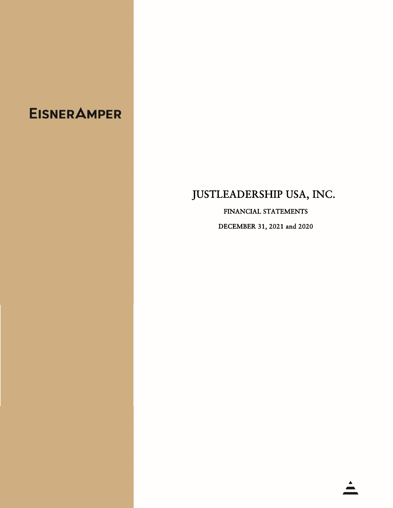# **EISNER AMPER**

# JUSTLEADERSHIP USA, INC.

FINANCIAL STATEMENTS DECEMBER 31, 2021 and 2020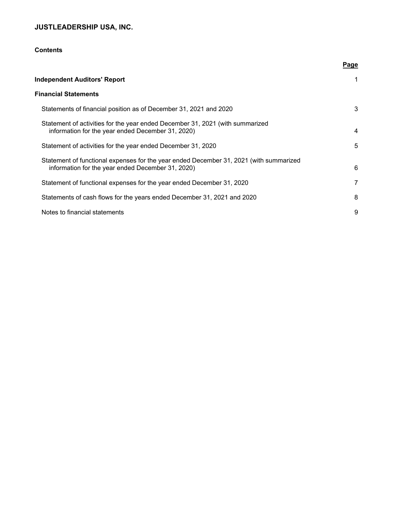# **Contents**

|                                                                                                                                             | Page |
|---------------------------------------------------------------------------------------------------------------------------------------------|------|
| <b>Independent Auditors' Report</b>                                                                                                         | 1    |
| <b>Financial Statements</b>                                                                                                                 |      |
| Statements of financial position as of December 31, 2021 and 2020                                                                           | 3    |
| Statement of activities for the year ended December 31, 2021 (with summarized<br>information for the year ended December 31, 2020)          | 4    |
| Statement of activities for the year ended December 31, 2020                                                                                | 5    |
| Statement of functional expenses for the year ended December 31, 2021 (with summarized<br>information for the year ended December 31, 2020) | 6    |
| Statement of functional expenses for the year ended December 31, 2020                                                                       | 7    |
| Statements of cash flows for the years ended December 31, 2021 and 2020                                                                     | 8    |
| Notes to financial statements                                                                                                               | 9    |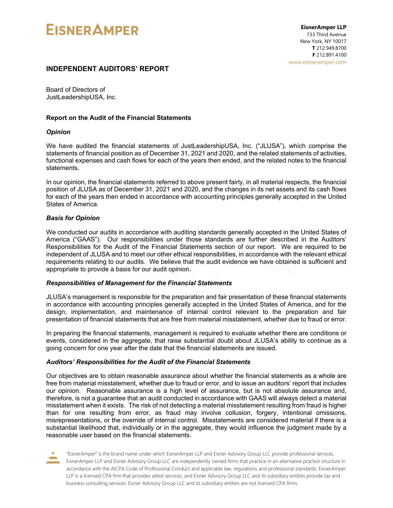# **EISNER AMPER**

# **INDEPENDENT AUDITORS' REPORT**

Board of Directors of JustLeadershipUSA, Inc.

## **Report on the Audit of the Financial Statements**

## *Opinion*

We have audited the financial statements of JustLeadershipUSA, Inc. ("JLUSA"), which comprise the statements of financial position as of December 31, 2021 and 2020, and the related statements of activities, functional expenses and cash flows for each of the years then ended, and the related notes to the financial statements.

In our opinion, the financial statements referred to above present fairly, in all material respects, the financial position of JLUSA as of December 31, 2021 and 2020, and the changes in its net assets and its cash flows for each of the years then ended in accordance with accounting principles generally accepted in the United States of America.

# *Basis for Opinion*

We conducted our audits in accordance with auditing standards generally accepted in the United States of America ("GAAS"). Our responsibilities under those standards are further described in the Auditors' Responsibilities for the Audit of the Financial Statements section of our report. We are required to be independent of JLUSA and to meet our other ethical responsibilities, in accordance with the relevant ethical requirements relating to our audits. We believe that the audit evidence we have obtained is sufficient and appropriate to provide a basis for our audit opinion.

## *Responsibilities of Management for the Financial Statements*

JLUSA's management is responsible for the preparation and fair presentation of these financial statements in accordance with accounting principles generally accepted in the United States of America, and for the design, implementation, and maintenance of internal control relevant to the preparation and fair presentation of financial statements that are free from material misstatement, whether due to fraud or error.

In preparing the financial statements, management is required to evaluate whether there are conditions or events, considered in the aggregate, that raise substantial doubt about JLUSA's ability to continue as a going concern for one year after the date that the financial statements are issued.

# *Auditors' Responsibilities for the Audit of the Financial Statements*

Our objectives are to obtain reasonable assurance about whether the financial statements as a whole are free from material misstatement, whether due to fraud or error, and to issue an auditors' report that includes our opinion. Reasonable assurance is a high level of assurance, but is not absolute assurance and, therefore, is not a guarantee that an audit conducted in accordance with GAAS will always detect a material misstatement when it exists. The risk of not detecting a material misstatement resulting from fraud is higher than for one resulting from error, as fraud may involve collusion, forgery, intentional omissions, misrepresentations, or the override of internal control. Misstatements are considered material if there is a substantial likelihood that, individually or in the aggregate, they would influence the judgment made by a reasonable user based on the financial statements.

"EisnerAmper" is the brand name under which EisnerAmper LLP and Eisner Advisory Group LLC provide professional services. EisnerAmper LLP and Eisner Advisory Group LLC are independently owned firms that practice in an alternative practice structure in accordance with the AICPA Code of Professional Conduct and applicable law, regulations and professional standards. EisnerAmper LLP is a licensed CPA firm that provides attest services, and Eisner Advisory Group LLC and its subsidiary entities provide tax and business consulting services. Eisner Advisory Group LLC and its subsidiary entities are not licensed CPA firms.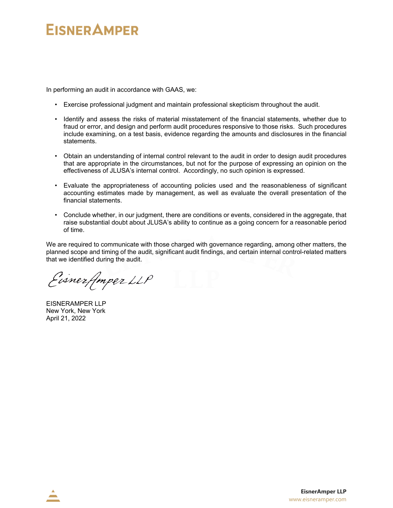# **EISNER AMPER**

In performing an audit in accordance with GAAS, we:

- Exercise professional judgment and maintain professional skepticism throughout the audit.
- Identify and assess the risks of material misstatement of the financial statements, whether due to fraud or error, and design and perform audit procedures responsive to those risks. Such procedures include examining, on a test basis, evidence regarding the amounts and disclosures in the financial statements.
- Obtain an understanding of internal control relevant to the audit in order to design audit procedures that are appropriate in the circumstances, but not for the purpose of expressing an opinion on the effectiveness of JLUSA's internal control. Accordingly, no such opinion is expressed.
- Evaluate the appropriateness of accounting policies used and the reasonableness of significant accounting estimates made by management, as well as evaluate the overall presentation of the financial statements.
- Conclude whether, in our judgment, there are conditions or events, considered in the aggregate, that raise substantial doubt about JLUSA's ability to continue as a going concern for a reasonable period of time.

We are required to communicate with those charged with governance regarding, among other matters, the planned scope and timing of the audit, significant audit findings, and certain internal control-related matters that we identified during the audit.

Eisnerfmper LLP

EISNERAMPER LLP New York, New York April 21, 2022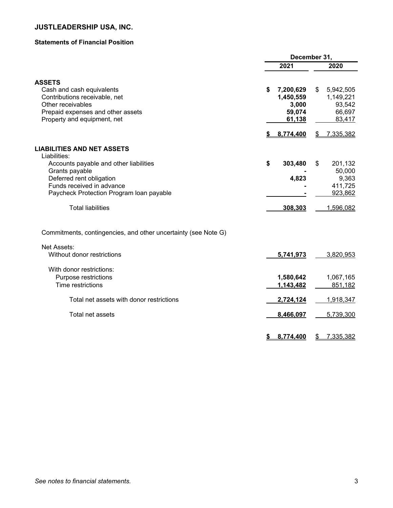# **Statements of Financial Position**

|                                                                | December 31, |           |    |           |
|----------------------------------------------------------------|--------------|-----------|----|-----------|
|                                                                |              | 2021      |    | 2020      |
| <b>ASSETS</b>                                                  |              |           |    |           |
| Cash and cash equivalents                                      | \$           | 7,200,629 | \$ | 5,942,505 |
| Contributions receivable, net                                  |              | 1,450,559 |    | 1,149,221 |
| Other receivables                                              |              | 3,000     |    | 93,542    |
| Prepaid expenses and other assets                              |              | 59,074    |    | 66,697    |
| Property and equipment, net                                    |              | 61,138    |    | 83,417    |
|                                                                |              | 8,774,400 | S  | 7,335,382 |
| <b>LIABILITIES AND NET ASSETS</b>                              |              |           |    |           |
| Liabilities:                                                   |              |           |    |           |
| Accounts payable and other liabilities                         | \$           | 303,480   | \$ | 201,132   |
| Grants payable                                                 |              |           |    | 50,000    |
| Deferred rent obligation                                       |              | 4,823     |    | 9,363     |
| Funds received in advance                                      |              |           |    | 411,725   |
| Paycheck Protection Program Ioan payable                       |              |           |    | 923,862   |
| <b>Total liabilities</b>                                       |              | 308,303   |    | 1,596,082 |
| Commitments, contingencies, and other uncertainty (see Note G) |              |           |    |           |
| Net Assets:                                                    |              |           |    |           |
| Without donor restrictions                                     |              | 5,741,973 |    | 3,820,953 |
| With donor restrictions:                                       |              |           |    |           |
| Purpose restrictions                                           |              | 1,580,642 |    | 1,067,165 |
| Time restrictions                                              |              | 1,143,482 |    | 851,182   |
| Total net assets with donor restrictions                       |              | 2,724,124 |    | 1,918,347 |
| Total net assets                                               |              | 8,466,097 |    | 5,739,300 |
|                                                                |              |           |    |           |
|                                                                | \$           | 8,774,400 | \$ | 7,335,382 |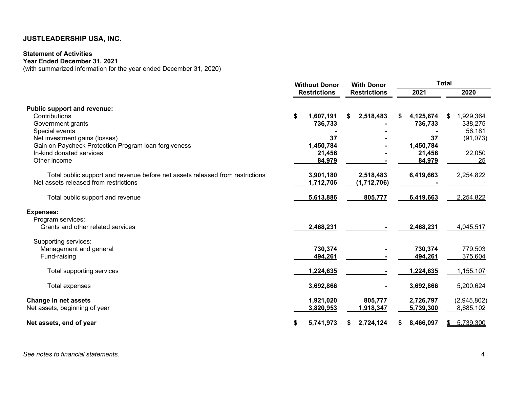# **Statement of Activities**

**Year Ended December 31, 2021** 

(with summarized information for the year ended December 31, 2020)

|                                                                               | <b>Without Donor</b> |                     |    | <b>With Donor</b>   |  | Total     |    |             |  |      |
|-------------------------------------------------------------------------------|----------------------|---------------------|----|---------------------|--|-----------|----|-------------|--|------|
|                                                                               |                      | <b>Restrictions</b> |    | <b>Restrictions</b> |  |           |    | 2021        |  | 2020 |
| <b>Public support and revenue:</b>                                            |                      |                     |    |                     |  |           |    |             |  |      |
| Contributions                                                                 | \$                   | 1,607,191           | \$ | 2,518,483           |  | 4,125,674 | \$ | 1,929,364   |  |      |
| Government grants                                                             |                      | 736,733             |    |                     |  | 736,733   |    | 338,275     |  |      |
| Special events                                                                |                      |                     |    |                     |  |           |    | 56,181      |  |      |
| Net investment gains (losses)                                                 |                      | 37                  |    |                     |  | 37        |    | (91, 073)   |  |      |
| Gain on Paycheck Protection Program Ioan forgiveness                          |                      | 1,450,784           |    |                     |  | 1,450,784 |    |             |  |      |
| In-kind donated services                                                      |                      | 21,456              |    |                     |  | 21,456    |    | 22,050      |  |      |
| Other income                                                                  |                      | 84,979              |    |                     |  | 84,979    |    | 25          |  |      |
| Total public support and revenue before net assets released from restrictions |                      | 3,901,180           |    | 2,518,483           |  | 6,419,663 |    | 2,254,822   |  |      |
| Net assets released from restrictions                                         |                      | 1,712,706           |    | (1,712,706)         |  |           |    |             |  |      |
| Total public support and revenue                                              |                      | 5,613,886           |    | 805,777             |  | 6,419,663 |    | 2,254,822   |  |      |
| <b>Expenses:</b>                                                              |                      |                     |    |                     |  |           |    |             |  |      |
| Program services:                                                             |                      |                     |    |                     |  |           |    |             |  |      |
| Grants and other related services                                             |                      | 2,468,231           |    |                     |  | 2,468,231 |    | 4,045,517   |  |      |
| Supporting services:                                                          |                      |                     |    |                     |  |           |    |             |  |      |
| Management and general                                                        |                      | 730,374             |    |                     |  | 730,374   |    | 779,503     |  |      |
| Fund-raising                                                                  |                      | 494,261             |    |                     |  | 494,261   |    | 375,604     |  |      |
| Total supporting services                                                     |                      | 1,224,635           |    |                     |  | 1,224,635 |    | 1,155,107   |  |      |
| Total expenses                                                                |                      | 3,692,866           |    |                     |  | 3,692,866 |    | 5,200,624   |  |      |
| Change in net assets                                                          |                      | 1,921,020           |    | 805,777             |  | 2,726,797 |    | (2,945,802) |  |      |
| Net assets, beginning of year                                                 |                      | 3,820,953           |    | 1,918,347           |  | 5,739,300 |    | 8,685,102   |  |      |
| Net assets, end of year                                                       |                      | 5,741,973           |    | 2,724,124           |  | 8,466,097 |    | 5,739,300   |  |      |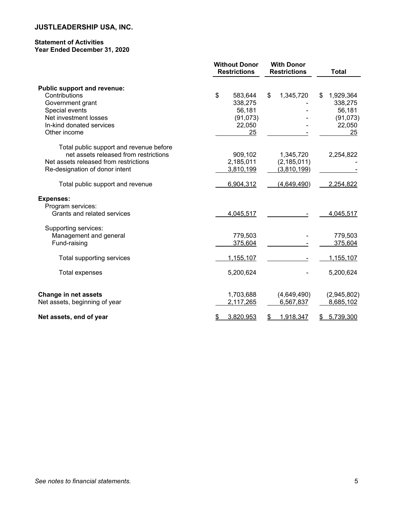## **Statement of Activities Year Ended December 31, 2020**

|                                         | <b>Without Donor</b><br><b>Restrictions</b> |           | <b>With Donor</b><br><b>Restrictions</b> |                    | <b>Total</b>    |
|-----------------------------------------|---------------------------------------------|-----------|------------------------------------------|--------------------|-----------------|
| <b>Public support and revenue:</b>      |                                             |           |                                          |                    |                 |
| Contributions                           | \$                                          | 583,644   | \$                                       | 1,345,720          | \$<br>1,929,364 |
| Government grant                        |                                             | 338,275   |                                          |                    | 338,275         |
| Special events                          |                                             | 56,181    |                                          |                    | 56,181          |
| Net investment losses                   |                                             | (91, 073) |                                          |                    | (91, 073)       |
| In-kind donated services                |                                             | 22,050    |                                          |                    | 22,050          |
| Other income                            |                                             | 25        |                                          |                    | 25              |
| Total public support and revenue before |                                             |           |                                          |                    |                 |
| net assets released from restrictions   |                                             | 909,102   |                                          | 1,345,720          | 2,254,822       |
| Net assets released from restrictions   |                                             | 2,185,011 |                                          | (2, 185, 011)      |                 |
| Re-designation of donor intent          |                                             | 3,810,199 |                                          | <u>(3,810,199)</u> |                 |
| Total public support and revenue        |                                             | 6,904,312 |                                          | (4,649,490)        | 2,254,822       |
| <b>Expenses:</b>                        |                                             |           |                                          |                    |                 |
| Program services:                       |                                             |           |                                          |                    |                 |
| Grants and related services             |                                             | 4,045,517 |                                          |                    | 4,045,517       |
| Supporting services:                    |                                             |           |                                          |                    |                 |
| Management and general                  |                                             | 779,503   |                                          |                    | 779,503         |
| Fund-raising                            |                                             | 375,604   |                                          |                    | 375,604         |
| Total supporting services               |                                             | 1,155,107 |                                          |                    | 1,155,107       |
| <b>Total expenses</b>                   |                                             | 5,200,624 |                                          |                    | 5,200,624       |
| <b>Change in net assets</b>             |                                             | 1,703,688 |                                          | (4,649,490)        | (2,945,802)     |
| Net assets, beginning of year           |                                             | 2,117,265 |                                          | 6,567,837          | 8,685,102       |
| Net assets, end of year                 | \$                                          | 3,820,953 | S                                        | 1,918,347          | \$<br>5,739,300 |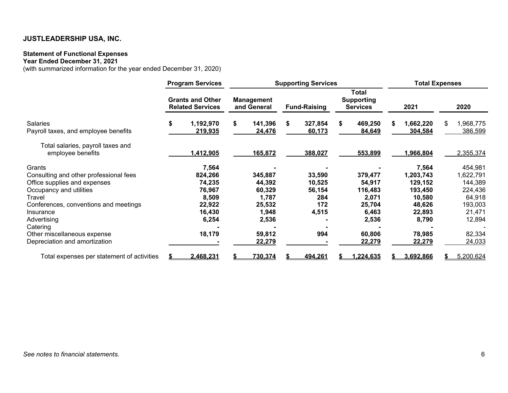### **Statement of Functional Expenses**

#### **Year Ended December 31, 2021**

(with summarized information for the year ended December 31, 2020)

|                                                                                                                                                                                                                                                                        | <b>Program Services</b> |                                                                                      | <b>Supporting Services</b> |                                                                                      |    |                                                          |    |                                                                                       |    | <b>Total Expenses</b>                                                                               |    |                                                                                                         |
|------------------------------------------------------------------------------------------------------------------------------------------------------------------------------------------------------------------------------------------------------------------------|-------------------------|--------------------------------------------------------------------------------------|----------------------------|--------------------------------------------------------------------------------------|----|----------------------------------------------------------|----|---------------------------------------------------------------------------------------|----|-----------------------------------------------------------------------------------------------------|----|---------------------------------------------------------------------------------------------------------|
|                                                                                                                                                                                                                                                                        |                         | <b>Grants and Other</b><br><b>Related Services</b>                                   |                            | <b>Management</b><br>and General                                                     |    | <b>Fund-Raising</b>                                      |    | Total<br><b>Supporting</b><br><b>Services</b>                                         |    | 2021                                                                                                |    | 2020                                                                                                    |
| <b>Salaries</b><br>Payroll taxes, and employee benefits                                                                                                                                                                                                                | \$                      | 1,192,970<br>219,935                                                                 | S.                         | 141,396<br>24,476                                                                    | S. | 327,854<br>60,173                                        | S. | 469,250<br>84,649                                                                     | S. | 1,662,220<br>304,584                                                                                | S. | 1,968,775<br>386,599                                                                                    |
| Total salaries, payroll taxes and<br>employee benefits                                                                                                                                                                                                                 |                         | 1,412,905                                                                            |                            | 165,872                                                                              |    | 388,027                                                  |    | 553,899                                                                               |    | 1,966,804                                                                                           |    | 2,355,374                                                                                               |
| Grants<br>Consulting and other professional fees<br>Office supplies and expenses<br>Occupancy and utilities<br>Travel<br>Conferences, conventions and meetings<br>Insurance<br>Advertising<br>Catering<br>Other miscellaneous expense<br>Depreciation and amortization |                         | 7,564<br>824,266<br>74,235<br>76,967<br>8,509<br>22,922<br>16,430<br>6,254<br>18,179 |                            | 345,887<br>44,392<br>60,329<br>1,787<br>25,532<br>1,948<br>2,536<br>59,812<br>22,279 |    | 33,590<br>10,525<br>56,154<br>284<br>172<br>4,515<br>994 |    | 379,477<br>54,917<br>116,483<br>2,071<br>25,704<br>6,463<br>2,536<br>60,806<br>22,279 |    | 7,564<br>1,203,743<br>129,152<br>193,450<br>10,580<br>48,626<br>22,893<br>8,790<br>78,985<br>22,279 |    | 454,981<br>1,622,791<br>144,389<br>224,436<br>64,918<br>193,003<br>21,471<br>12,894<br>82,334<br>24,033 |
| Total expenses per statement of activities                                                                                                                                                                                                                             |                         | 2,468,231                                                                            |                            | 730,374                                                                              |    | 494,261                                                  |    | 1,224,635                                                                             |    | 3,692,866                                                                                           |    | 5,200,624                                                                                               |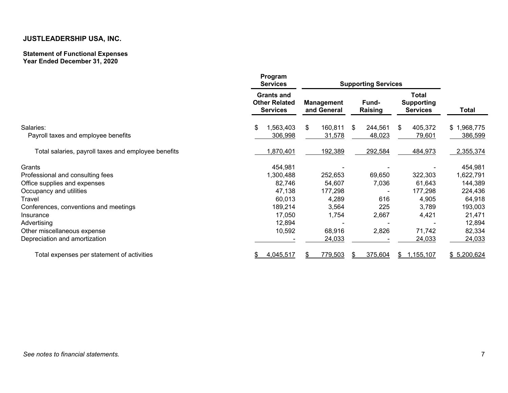#### **Statement of Functional Expenses Year Ended December 31, 2020**

|                                                     | Program<br><b>Services</b>                                   | <b>Supporting Services</b>       |                         |                                                      |                        |
|-----------------------------------------------------|--------------------------------------------------------------|----------------------------------|-------------------------|------------------------------------------------------|------------------------|
|                                                     | <b>Grants and</b><br><b>Other Related</b><br><b>Services</b> | <b>Management</b><br>and General | <b>Fund-</b><br>Raising | <b>Total</b><br><b>Supporting</b><br><b>Services</b> | <b>Total</b>           |
| Salaries:<br>Payroll taxes and employee benefits    | \$<br>1,563,403<br>306,998                                   | \$<br>160,811<br>31,578          | 244,561<br>\$<br>48,023 | 405,372<br>\$<br>79,601                              | \$1,968,775<br>386,599 |
| Total salaries, payroll taxes and employee benefits | 1,870,401                                                    | 192,389                          | 292,584                 | 484,973                                              | 2,355,374              |
| Grants                                              | 454,981                                                      |                                  |                         |                                                      | 454,981                |
| Professional and consulting fees                    | 1,300,488                                                    | 252,653                          | 69,650                  | 322,303                                              | 1,622,791              |
| Office supplies and expenses                        | 82,746                                                       | 54,607                           | 7,036                   | 61,643                                               | 144,389                |
| Occupancy and utilities                             | 47,138                                                       | 177,298                          |                         | 177,298                                              | 224,436                |
| Travel                                              | 60,013                                                       | 4,289                            | 616                     | 4,905                                                | 64,918                 |
| Conferences, conventions and meetings               | 189,214                                                      | 3,564                            | 225                     | 3,789                                                | 193,003                |
| Insurance                                           | 17,050                                                       | 1,754                            | 2,667                   | 4,421                                                | 21,471                 |
| Advertising                                         | 12,894                                                       |                                  |                         |                                                      | 12,894                 |
| Other miscellaneous expense                         | 10,592                                                       | 68,916                           | 2,826                   | 71,742                                               | 82,334                 |
| Depreciation and amortization                       |                                                              | 24,033                           |                         | 24,033                                               | 24,033                 |
| Total expenses per statement of activities          | 4,045,517                                                    | 779,503                          | 375,604                 | 1,155,107<br>\$                                      | \$5,200,624            |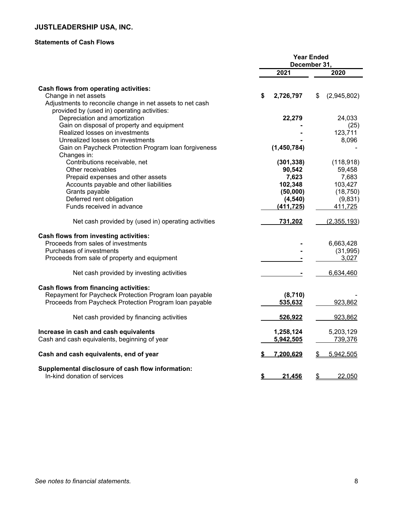# **Statements of Cash Flows**

|                                                                                   | <b>Year Ended</b><br>December 31, |             |    |             |  |
|-----------------------------------------------------------------------------------|-----------------------------------|-------------|----|-------------|--|
|                                                                                   | 2021                              |             |    | 2020        |  |
| Cash flows from operating activities:                                             |                                   |             |    |             |  |
| Change in net assets                                                              | \$                                | 2,726,797   | \$ | (2,945,802) |  |
| Adjustments to reconcile change in net assets to net cash                         |                                   |             |    |             |  |
| provided by (used in) operating activities:                                       |                                   |             |    |             |  |
| Depreciation and amortization                                                     |                                   | 22,279      |    | 24,033      |  |
| Gain on disposal of property and equipment                                        |                                   |             |    | (25)        |  |
| Realized losses on investments                                                    |                                   |             |    | 123,711     |  |
| Unrealized losses on investments                                                  |                                   |             |    | 8,096       |  |
| Gain on Paycheck Protection Program loan forgiveness<br>Changes in:               |                                   | (1,450,784) |    |             |  |
| Contributions receivable, net                                                     |                                   | (301, 338)  |    | (118, 918)  |  |
| Other receivables                                                                 |                                   | 90,542      |    | 59,458      |  |
|                                                                                   |                                   |             |    | 7,683       |  |
| Prepaid expenses and other assets                                                 |                                   | 7,623       |    |             |  |
| Accounts payable and other liabilities                                            |                                   | 102,348     |    | 103,427     |  |
| Grants payable                                                                    |                                   | (50,000)    |    | (18, 750)   |  |
| Deferred rent obligation                                                          |                                   | (4, 540)    |    | (9,831)     |  |
| Funds received in advance                                                         |                                   | (411, 725)  |    | 411,725     |  |
| Net cash provided by (used in) operating activities                               |                                   | 731,202     |    | (2,355,193) |  |
| <b>Cash flows from investing activities:</b>                                      |                                   |             |    |             |  |
| Proceeds from sales of investments                                                |                                   |             |    | 6,663,428   |  |
| Purchases of investments                                                          |                                   |             |    | (31, 995)   |  |
| Proceeds from sale of property and equipment                                      |                                   |             |    | 3,027       |  |
|                                                                                   |                                   |             |    |             |  |
| Net cash provided by investing activities                                         |                                   |             |    | 6,634,460   |  |
| <b>Cash flows from financing activities:</b>                                      |                                   |             |    |             |  |
| Repayment for Paycheck Protection Program Ioan payable                            |                                   | (8,710)     |    |             |  |
| Proceeds from Paycheck Protection Program Ioan payable                            |                                   | 535,632     |    | 923,862     |  |
| Net cash provided by financing activities                                         |                                   | 526,922     |    | 923,862     |  |
| Increase in cash and cash equivalents                                             |                                   | 1,258,124   |    | 5,203,129   |  |
| Cash and cash equivalents, beginning of year                                      |                                   | 5,942,505   |    | 739,376     |  |
| Cash and cash equivalents, end of year                                            |                                   | 7,200,629   | \$ | 5,942,505   |  |
| Supplemental disclosure of cash flow information:<br>In-kind donation of services | \$                                | 21,456      | \$ | 22,050      |  |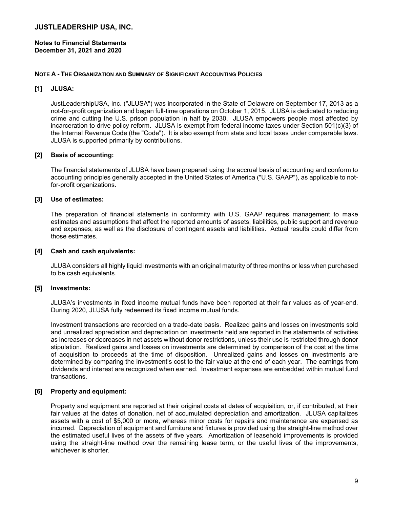**Notes to Financial Statements December 31, 2021 and 2020** 

## **NOTE A - THE ORGANIZATION AND SUMMARY OF SIGNIFICANT ACCOUNTING POLICIES**

# **[1] JLUSA:**

JustLeadershipUSA, Inc. ("JLUSA") was incorporated in the State of Delaware on September 17, 2013 as a not-for-profit organization and began full-time operations on October 1, 2015. JLUSA is dedicated to reducing crime and cutting the U.S. prison population in half by 2030. JLUSA empowers people most affected by incarceration to drive policy reform. JLUSA is exempt from federal income taxes under Section 501(c)(3) of the Internal Revenue Code (the "Code"). It is also exempt from state and local taxes under comparable laws. JLUSA is supported primarily by contributions.

# **[2] Basis of accounting:**

The financial statements of JLUSA have been prepared using the accrual basis of accounting and conform to accounting principles generally accepted in the United States of America ("U.S. GAAP"), as applicable to notfor-profit organizations.

# **[3] Use of estimates:**

The preparation of financial statements in conformity with U.S. GAAP requires management to make estimates and assumptions that affect the reported amounts of assets, liabilities, public support and revenue and expenses, as well as the disclosure of contingent assets and liabilities. Actual results could differ from those estimates.

## **[4] Cash and cash equivalents:**

JLUSA considers all highly liquid investments with an original maturity of three months or less when purchased to be cash equivalents.

## **[5] Investments:**

JLUSA's investments in fixed income mutual funds have been reported at their fair values as of year-end. During 2020, JLUSA fully redeemed its fixed income mutual funds.

Investment transactions are recorded on a trade-date basis. Realized gains and losses on investments sold and unrealized appreciation and depreciation on investments held are reported in the statements of activities as increases or decreases in net assets without donor restrictions, unless their use is restricted through donor stipulation. Realized gains and losses on investments are determined by comparison of the cost at the time of acquisition to proceeds at the time of disposition. Unrealized gains and losses on investments are determined by comparing the investment's cost to the fair value at the end of each year. The earnings from dividends and interest are recognized when earned. Investment expenses are embedded within mutual fund transactions.

## **[6] Property and equipment:**

Property and equipment are reported at their original costs at dates of acquisition, or, if contributed, at their fair values at the dates of donation, net of accumulated depreciation and amortization. JLUSA capitalizes assets with a cost of \$5,000 or more, whereas minor costs for repairs and maintenance are expensed as incurred. Depreciation of equipment and furniture and fixtures is provided using the straight-line method over the estimated useful lives of the assets of five years. Amortization of leasehold improvements is provided using the straight-line method over the remaining lease term, or the useful lives of the improvements, whichever is shorter.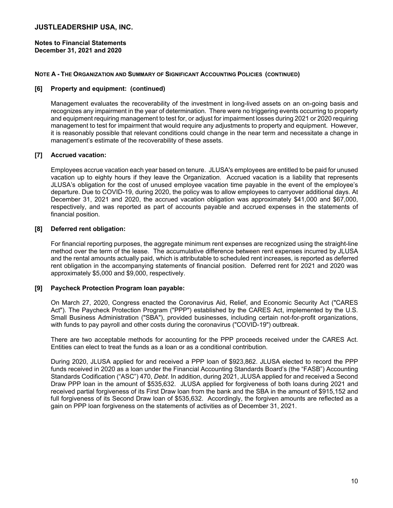**Notes to Financial Statements December 31, 2021 and 2020** 

# **NOTE A - THE ORGANIZATION AND SUMMARY OF SIGNIFICANT ACCOUNTING POLICIES (CONTINUED)**

# **[6] Property and equipment: (continued)**

Management evaluates the recoverability of the investment in long-lived assets on an on-going basis and recognizes any impairment in the year of determination. There were no triggering events occurring to property and equipment requiring management to test for, or adjust for impairment losses during 2021 or 2020 requiring management to test for impairment that would require any adjustments to property and equipment. However, it is reasonably possible that relevant conditions could change in the near term and necessitate a change in management's estimate of the recoverability of these assets.

# **[7] Accrued vacation:**

Employees accrue vacation each year based on tenure. JLUSA's employees are entitled to be paid for unused vacation up to eighty hours if they leave the Organization. Accrued vacation is a liability that represents JLUSA's obligation for the cost of unused employee vacation time payable in the event of the employee's departure. Due to COVID-19, during 2020, the policy was to allow employees to carryover additional days. At December 31, 2021 and 2020, the accrued vacation obligation was approximately \$41,000 and \$67,000, respectively, and was reported as part of accounts payable and accrued expenses in the statements of financial position.

# **[8] Deferred rent obligation:**

For financial reporting purposes, the aggregate minimum rent expenses are recognized using the straight-line method over the term of the lease. The accumulative difference between rent expenses incurred by JLUSA and the rental amounts actually paid, which is attributable to scheduled rent increases, is reported as deferred rent obligation in the accompanying statements of financial position. Deferred rent for 2021 and 2020 was approximately \$5,000 and \$9,000, respectively.

## **[9] Paycheck Protection Program loan payable:**

On March 27, 2020, Congress enacted the Coronavirus Aid, Relief, and Economic Security Act ("CARES Act"). The Paycheck Protection Program ("PPP") established by the CARES Act, implemented by the U.S. Small Business Administration ("SBA"), provided businesses, including certain not-for-profit organizations, with funds to pay payroll and other costs during the coronavirus ("COVID-19") outbreak.

There are two acceptable methods for accounting for the PPP proceeds received under the CARES Act. Entities can elect to treat the funds as a loan or as a conditional contribution.

During 2020, JLUSA applied for and received a PPP loan of \$923,862. JLUSA elected to record the PPP funds received in 2020 as a loan under the Financial Accounting Standards Board's (the "FASB") Accounting Standards Codification ("ASC") 470, *Debt*. In addition, during 2021, JLUSA applied for and received a Second Draw PPP loan in the amount of \$535,632. JLUSA applied for forgiveness of both loans during 2021 and received partial forgiveness of its First Draw loan from the bank and the SBA in the amount of \$915,152 and full forgiveness of its Second Draw loan of \$535,632. Accordingly, the forgiven amounts are reflected as a gain on PPP loan forgiveness on the statements of activities as of December 31, 2021.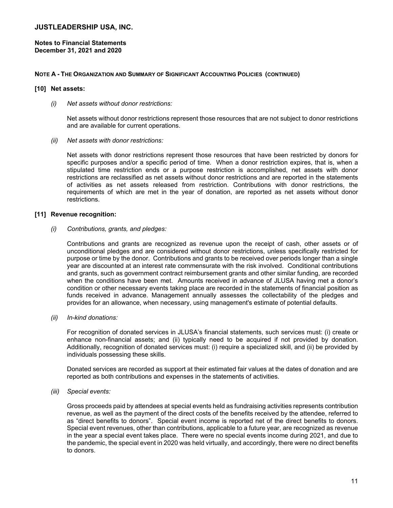**Notes to Financial Statements December 31, 2021 and 2020** 

## **NOTE A - THE ORGANIZATION AND SUMMARY OF SIGNIFICANT ACCOUNTING POLICIES (CONTINUED)**

## **[10] Net assets:**

*(i) Net assets without donor restrictions:* 

Net assets without donor restrictions represent those resources that are not subject to donor restrictions and are available for current operations.

*(ii) Net assets with donor restrictions:* 

Net assets with donor restrictions represent those resources that have been restricted by donors for specific purposes and/or a specific period of time. When a donor restriction expires, that is, when a stipulated time restriction ends or a purpose restriction is accomplished, net assets with donor restrictions are reclassified as net assets without donor restrictions and are reported in the statements of activities as net assets released from restriction. Contributions with donor restrictions, the requirements of which are met in the year of donation, are reported as net assets without donor restrictions.

## **[11] Revenue recognition:**

## *(i) Contributions, grants, and pledges:*

Contributions and grants are recognized as revenue upon the receipt of cash, other assets or of unconditional pledges and are considered without donor restrictions, unless specifically restricted for purpose or time by the donor. Contributions and grants to be received over periods longer than a single year are discounted at an interest rate commensurate with the risk involved. Conditional contributions and grants, such as government contract reimbursement grants and other similar funding, are recorded when the conditions have been met. Amounts received in advance of JLUSA having met a donor's condition or other necessary events taking place are recorded in the statements of financial position as funds received in advance. Management annually assesses the collectability of the pledges and provides for an allowance, when necessary, using management's estimate of potential defaults.

*(ii) In-kind donations:* 

For recognition of donated services in JLUSA's financial statements, such services must: (i) create or enhance non-financial assets; and (ii) typically need to be acquired if not provided by donation. Additionally, recognition of donated services must: (i) require a specialized skill, and (ii) be provided by individuals possessing these skills.

Donated services are recorded as support at their estimated fair values at the dates of donation and are reported as both contributions and expenses in the statements of activities.

*(iii) Special events:* 

Gross proceeds paid by attendees at special events held as fundraising activities represents contribution revenue, as well as the payment of the direct costs of the benefits received by the attendee, referred to as "direct benefits to donors". Special event income is reported net of the direct benefits to donors. Special event revenues, other than contributions, applicable to a future year, are recognized as revenue in the year a special event takes place. There were no special events income during 2021, and due to the pandemic, the special event in 2020 was held virtually, and accordingly, there were no direct benefits to donors.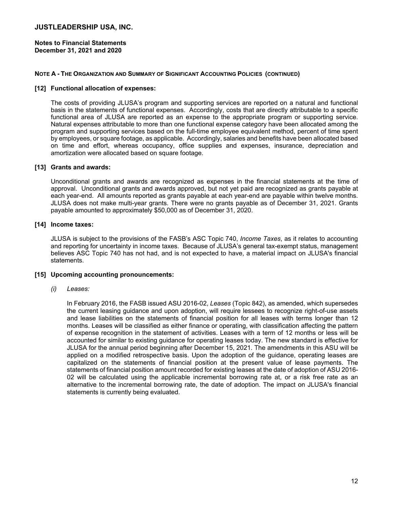## **Notes to Financial Statements December 31, 2021 and 2020**

## **NOTE A - THE ORGANIZATION AND SUMMARY OF SIGNIFICANT ACCOUNTING POLICIES (CONTINUED)**

## **[12] Functional allocation of expenses:**

The costs of providing JLUSA's program and supporting services are reported on a natural and functional basis in the statements of functional expenses. Accordingly, costs that are directly attributable to a specific functional area of JLUSA are reported as an expense to the appropriate program or supporting service. Natural expenses attributable to more than one functional expense category have been allocated among the program and supporting services based on the full-time employee equivalent method, percent of time spent by employees, or square footage, as applicable. Accordingly, salaries and benefits have been allocated based on time and effort, whereas occupancy, office supplies and expenses, insurance, depreciation and amortization were allocated based on square footage.

# **[13] Grants and awards:**

Unconditional grants and awards are recognized as expenses in the financial statements at the time of approval. Unconditional grants and awards approved, but not yet paid are recognized as grants payable at each year-end. All amounts reported as grants payable at each year-end are payable within twelve months. JLUSA does not make multi-year grants. There were no grants payable as of December 31, 2021. Grants payable amounted to approximately \$50,000 as of December 31, 2020.

# **[14] Income taxes:**

JLUSA is subject to the provisions of the FASB's ASC Topic 740, *Income Taxes*, as it relates to accounting and reporting for uncertainty in income taxes. Because of JLUSA's general tax-exempt status, management believes ASC Topic 740 has not had, and is not expected to have, a material impact on JLUSA's financial statements.

## **[15] Upcoming accounting pronouncements:**

## *(i) Leases:*

In February 2016, the FASB issued ASU 2016-02, *Leases* (Topic 842), as amended, which supersedes the current leasing guidance and upon adoption, will require lessees to recognize right-of-use assets and lease liabilities on the statements of financial position for all leases with terms longer than 12 months. Leases will be classified as either finance or operating, with classification affecting the pattern of expense recognition in the statement of activities. Leases with a term of 12 months or less will be accounted for similar to existing guidance for operating leases today. The new standard is effective for JLUSA for the annual period beginning after December 15, 2021. The amendments in this ASU will be applied on a modified retrospective basis. Upon the adoption of the guidance, operating leases are capitalized on the statements of financial position at the present value of lease payments. The statements of financial position amount recorded for existing leases at the date of adoption of ASU 2016- 02 will be calculated using the applicable incremental borrowing rate at, or a risk free rate as an alternative to the incremental borrowing rate, the date of adoption. The impact on JLUSA's financial statements is currently being evaluated.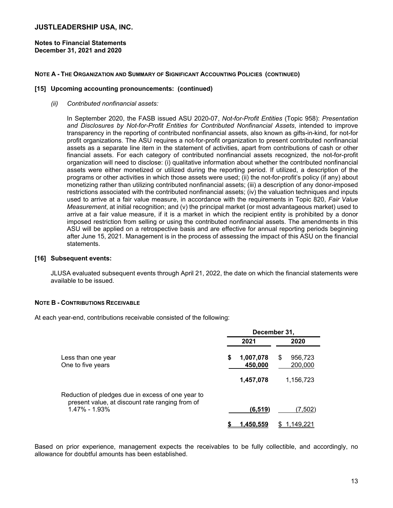**Notes to Financial Statements December 31, 2021 and 2020** 

## **NOTE A - THE ORGANIZATION AND SUMMARY OF SIGNIFICANT ACCOUNTING POLICIES (CONTINUED)**

## **[15] Upcoming accounting pronouncements: (continued)**

*(ii) Contributed nonfinancial assets:* 

In September 2020, the FASB issued ASU 2020-07, *Not-for-Profit Entities* (Topic 958): *Presentation and Disclosures by Not-for-Profit Entities for Contributed Nonfinancial Assets*, intended to improve transparency in the reporting of contributed nonfinancial assets, also known as gifts-in-kind, for not-for profit organizations. The ASU requires a not-for-profit organization to present contributed nonfinancial assets as a separate line item in the statement of activities, apart from contributions of cash or other financial assets. For each category of contributed nonfinancial assets recognized, the not-for-profit organization will need to disclose: (i) qualitative information about whether the contributed nonfinancial assets were either monetized or utilized during the reporting period. If utilized, a description of the programs or other activities in which those assets were used; (ii) the not-for-profit's policy (if any) about monetizing rather than utilizing contributed nonfinancial assets; (iii) a description of any donor-imposed restrictions associated with the contributed nonfinancial assets; (iv) the valuation techniques and inputs used to arrive at a fair value measure, in accordance with the requirements in Topic 820, *Fair Value Measurement*, at initial recognition; and (v) the principal market (or most advantageous market) used to arrive at a fair value measure, if it is a market in which the recipient entity is prohibited by a donor imposed restriction from selling or using the contributed nonfinancial assets. The amendments in this ASU will be applied on a retrospective basis and are effective for annual reporting periods beginning after June 15, 2021. Management is in the process of assessing the impact of this ASU on the financial statements.

# **[16] Subsequent events:**

JLUSA evaluated subsequent events through April 21, 2022, the date on which the financial statements were available to be issued.

## **NOTE B - CONTRIBUTIONS RECEIVABLE**

At each year-end, contributions receivable consisted of the following:

|                                                                                                      | December 31,               |                         |  |  |
|------------------------------------------------------------------------------------------------------|----------------------------|-------------------------|--|--|
|                                                                                                      | 2021                       | 2020                    |  |  |
| Less than one year<br>One to five years                                                              | \$<br>1,007,078<br>450,000 | 956,723<br>S<br>200,000 |  |  |
|                                                                                                      | 1,457,078                  | 1,156,723               |  |  |
| Reduction of pledges due in excess of one year to<br>present value, at discount rate ranging from of |                            |                         |  |  |
| 1.47% - 1.93%                                                                                        | (6, 519)                   | (7,502)                 |  |  |
|                                                                                                      | 1.450.559                  | 149.22 <sup>-</sup>     |  |  |

Based on prior experience, management expects the receivables to be fully collectible, and accordingly, no allowance for doubtful amounts has been established.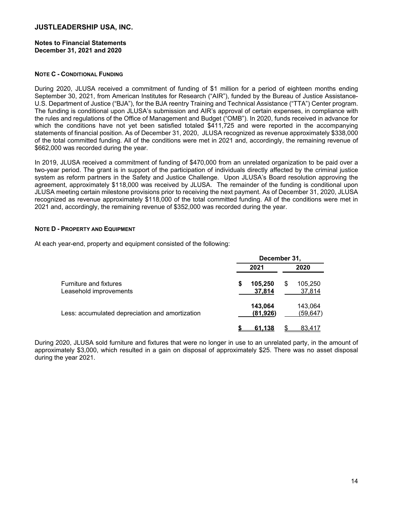### **Notes to Financial Statements December 31, 2021 and 2020**

# **NOTE C - CONDITIONAL FUNDING**

During 2020, JLUSA received a commitment of funding of \$1 million for a period of eighteen months ending September 30, 2021, from American Institutes for Research ("AIR"), funded by the Bureau of Justice Assistance-U.S. Department of Justice ("BJA"), for the BJA reentry Training and Technical Assistance ("TTA") Center program. The funding is conditional upon JLUSA's submission and AIR's approval of certain expenses, in compliance with the rules and regulations of the Office of Management and Budget ("OMB"). In 2020, funds received in advance for which the conditions have not yet been satisfied totaled \$411,725 and were reported in the accompanying statements of financial position. As of December 31, 2020, JLUSA recognized as revenue approximately \$338,000 of the total committed funding. All of the conditions were met in 2021 and, accordingly, the remaining revenue of \$662,000 was recorded during the year.

In 2019, JLUSA received a commitment of funding of \$470,000 from an unrelated organization to be paid over a two-year period. The grant is in support of the participation of individuals directly affected by the criminal justice system as reform partners in the Safety and Justice Challenge. Upon JLUSA's Board resolution approving the agreement, approximately \$118,000 was received by JLUSA. The remainder of the funding is conditional upon JLUSA meeting certain milestone provisions prior to receiving the next payment. As of December 31, 2020, JLUSA recognized as revenue approximately \$118,000 of the total committed funding. All of the conditions were met in 2021 and, accordingly, the remaining revenue of \$352,000 was recorded during the year.

# **NOTE D - PROPERTY AND EQUIPMENT**

At each year-end, property and equipment consisted of the following:

|                                                         | December 31, |                      |    |                      |  |
|---------------------------------------------------------|--------------|----------------------|----|----------------------|--|
|                                                         | 2021         |                      |    | 2020                 |  |
| <b>Furniture and fixtures</b><br>Leasehold improvements | \$           | 105,250<br>37,814    | \$ | 105,250<br>37,814    |  |
| Less: accumulated depreciation and amortization         |              | 143,064<br>(81, 926) |    | 143,064<br>(59, 647) |  |
|                                                         |              | 61.138               |    | 83.417               |  |

During 2020, JLUSA sold furniture and fixtures that were no longer in use to an unrelated party, in the amount of approximately \$3,000, which resulted in a gain on disposal of approximately \$25. There was no asset disposal during the year 2021.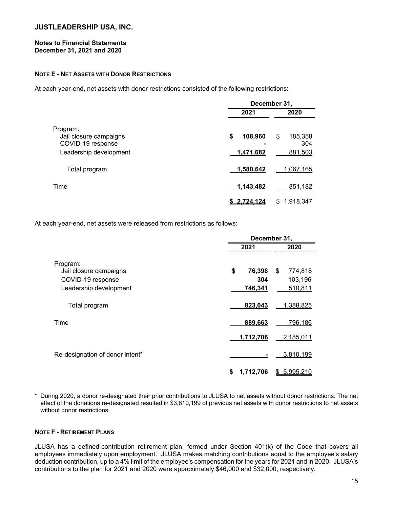# **Notes to Financial Statements December 31, 2021 and 2020**

# **NOTE E - NET ASSETS WITH DONOR RESTRICTIONS**

At each year-end, net assets with donor restrictions consisted of the following restrictions:

|                                                                                   | December 31,               |                                 |  |  |  |
|-----------------------------------------------------------------------------------|----------------------------|---------------------------------|--|--|--|
|                                                                                   | 2021                       | 2020                            |  |  |  |
| Program:<br>Jail closure campaigns<br>COVID-19 response<br>Leadership development | \$<br>108,960<br>1,471,682 | \$<br>185,358<br>304<br>881,503 |  |  |  |
| Total program                                                                     | 1,580,642                  | 1,067,165                       |  |  |  |
| Time                                                                              | 1,143,482                  | 851,182                         |  |  |  |
|                                                                                   | <u>2.724.124</u>           | <u>1,918,347</u><br>S           |  |  |  |

At each year-end, net assets were released from restrictions as follows:

|                                                                                   | December 31,                   |                                     |  |  |  |
|-----------------------------------------------------------------------------------|--------------------------------|-------------------------------------|--|--|--|
|                                                                                   | 2021                           | 2020                                |  |  |  |
| Program:<br>Jail closure campaigns<br>COVID-19 response<br>Leadership development | \$<br>76,398<br>304<br>746,341 | \$<br>774,818<br>103,196<br>510,811 |  |  |  |
| Total program                                                                     | 823,043                        | 1,388,825                           |  |  |  |
| Time                                                                              | 889,663                        | 796,186                             |  |  |  |
|                                                                                   | 1,712,706                      | 2,185,011                           |  |  |  |
| Re-designation of donor intent*                                                   |                                | 3,810,199                           |  |  |  |
|                                                                                   | <u>1.712.706</u><br>S          | 5,995,210<br>\$                     |  |  |  |

\* During 2020, a donor re-designated their prior contributions to JLUSA to net assets without donor restrictions. The net effect of the donations re-designated resulted in \$3,810,199 of previous net assets with donor restrictions to net assets without donor restrictions.

## **NOTE F - RETIREMENT PLANS**

JLUSA has a defined-contribution retirement plan, formed under Section 401(k) of the Code that covers all employees immediately upon employment. JLUSA makes matching contributions equal to the employee's salary deduction contribution, up to a 4% limit of the employee's compensation for the years for 2021 and in 2020. JLUSA's contributions to the plan for 2021 and 2020 were approximately \$46,000 and \$32,000, respectively.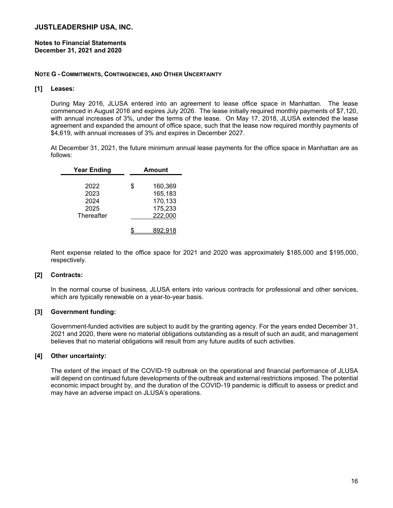**Notes to Financial Statements December 31, 2021 and 2020** 

#### **NOTE G - COMMITMENTS, CONTINGENCIES, AND OTHER UNCERTAINTY**

# **[1] Leases:**

During May 2016, JLUSA entered into an agreement to lease office space in Manhattan. The lease commenced in August 2016 and expires July 2026. The lease initially required monthly payments of \$7,120, with annual increases of 3%, under the terms of the lease. On May 17, 2018, JLUSA extended the lease agreement and expanded the amount of office space, such that the lease now required monthly payments of \$4,619, with annual increases of 3% and expires in December 2027.

At December 31, 2021, the future minimum annual lease payments for the office space in Manhattan are as follows:

| <b>Year Ending</b>   | Amount                        |
|----------------------|-------------------------------|
| 2022                 | \$<br>160,369                 |
| 2023<br>2024<br>2025 | 165,183<br>170,133<br>175,233 |
| Thereafter           | 222,000                       |
|                      |                               |

Rent expense related to the office space for 2021 and 2020 was approximately \$185,000 and \$195,000, respectively.

# **[2] Contracts:**

In the normal course of business, JLUSA enters into various contracts for professional and other services, which are typically renewable on a year-to-year basis.

## **[3] Government funding:**

Government-funded activities are subject to audit by the granting agency. For the years ended December 31, 2021 and 2020, there were no material obligations outstanding as a result of such an audit, and management believes that no material obligations will result from any future audits of such activities.

## **[4] Other uncertainty:**

The extent of the impact of the COVID-19 outbreak on the operational and financial performance of JLUSA will depend on continued future developments of the outbreak and external restrictions imposed. The potential economic impact brought by, and the duration of the COVID-19 pandemic is difficult to assess or predict and may have an adverse impact on JLUSA's operations.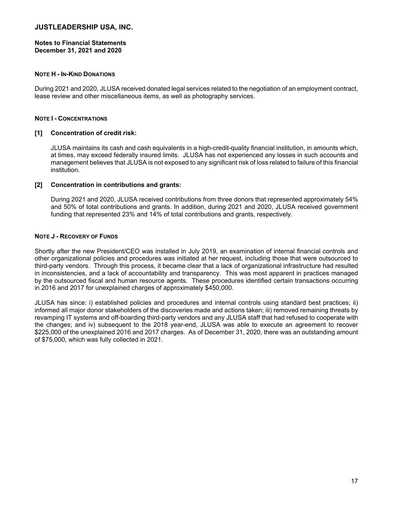# **Notes to Financial Statements December 31, 2021 and 2020**

# **NOTE H - IN-KIND DONATIONS**

During 2021 and 2020, JLUSA received donated legal services related to the negotiation of an employment contract, lease review and other miscellaneous items, as well as photography services.

## **NOTE I - CONCENTRATIONS**

# **[1] Concentration of credit risk:**

JLUSA maintains its cash and cash equivalents in a high-credit-quality financial institution, in amounts which, at times, may exceed federally insured limits. JLUSA has not experienced any losses in such accounts and management believes that JLUSA is not exposed to any significant risk of loss related to failure of this financial institution.

# **[2] Concentration in contributions and grants:**

During 2021 and 2020, JLUSA received contributions from three donors that represented approximately 54% and 50% of total contributions and grants. In addition, during 2021 and 2020, JLUSA received government funding that represented 23% and 14% of total contributions and grants, respectively.

# **NOTE J - RECOVERY OF FUNDS**

Shortly after the new President/CEO was installed in July 2019, an examination of internal financial controls and other organizational policies and procedures was initiated at her request, including those that were outsourced to third-party vendors. Through this process, it became clear that a lack of organizational infrastructure had resulted in inconsistencies, and a lack of accountability and transparency. This was most apparent in practices managed by the outsourced fiscal and human resource agents. These procedures identified certain transactions occurring in 2016 and 2017 for unexplained charges of approximately \$450,000.

JLUSA has since: i) established policies and procedures and internal controls using standard best practices; ii) informed all major donor stakeholders of the discoveries made and actions taken; iii) removed remaining threats by revamping IT systems and off-boarding third-party vendors and any JLUSA staff that had refused to cooperate with the changes; and iv) subsequent to the 2018 year-end, JLUSA was able to execute an agreement to recover \$225,000 of the unexplained 2016 and 2017 charges. As of December 31, 2020, there was an outstanding amount of \$75,000, which was fully collected in 2021.